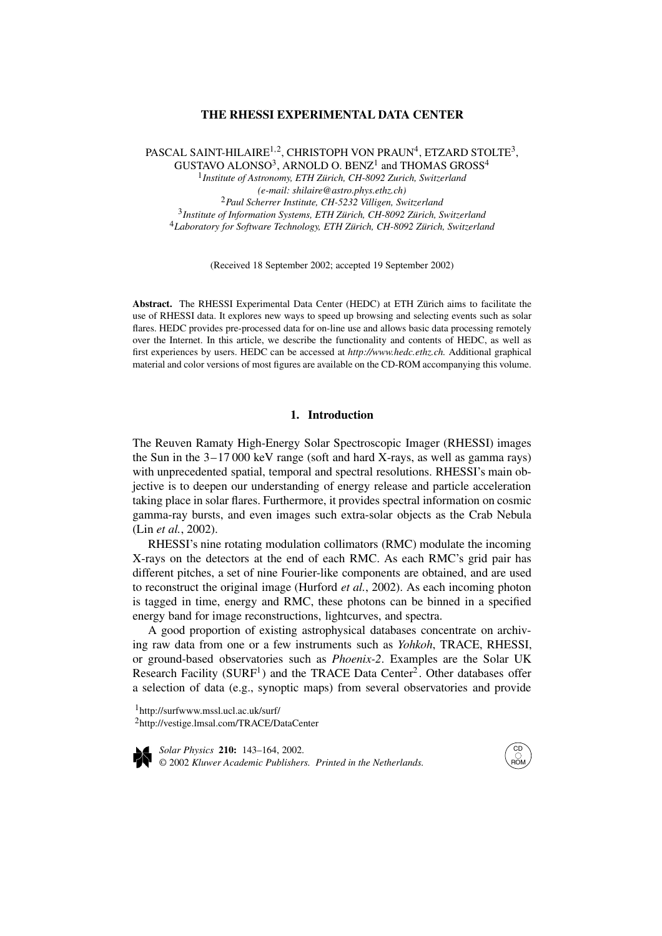# **THE RHESSI EXPERIMENTAL DATA CENTER**

PASCAL SAINT-HILAIRE<sup>1,2</sup>, CHRISTOPH VON PRAUN<sup>4</sup>, ETZARD STOLTE<sup>3</sup>, GUSTAVO ALONSO<sup>3</sup>, ARNOLD O. BENZ<sup>1</sup> and THOMAS GROSS<sup>4</sup>

*Institute of Astronomy, ETH Zürich, CH-8092 Zurich, Switzerland (e-mail: shilaire@astro.phys.ethz.ch) Paul Scherrer Institute, CH-5232 Villigen, Switzerland Institute of Information Systems, ETH Zürich, CH-8092 Zürich, Switzerland Laboratory for Software Technology, ETH Zürich, CH-8092 Zürich, Switzerland*

(Received 18 September 2002; accepted 19 September 2002)

**Abstract.** The RHESSI Experimental Data Center (HEDC) at ETH Zürich aims to facilitate the use of RHESSI data. It explores new ways to speed up browsing and selecting events such as solar flares. HEDC provides pre-processed data for on-line use and allows basic data processing remotely over the Internet. In this article, we describe the functionality and contents of HEDC, as well as first experiences by users. HEDC can be accessed at *http://www.hedc.ethz.ch.* Additional graphical material and color versions of most figures are available on the CD-ROM accompanying this volume.

### **1. Introduction**

The Reuven Ramaty High-Energy Solar Spectroscopic Imager (RHESSI) images the Sun in the  $3-17000$  keV range (soft and hard X-rays, as well as gamma rays) with unprecedented spatial, temporal and spectral resolutions. RHESSI's main objective is to deepen our understanding of energy release and particle acceleration taking place in solar flares. Furthermore, it provides spectral information on cosmic gamma-ray bursts, and even images such extra-solar objects as the Crab Nebula (Lin *et al.*, 2002).

RHESSI's nine rotating modulation collimators (RMC) modulate the incoming X-rays on the detectors at the end of each RMC. As each RMC's grid pair has different pitches, a set of nine Fourier-like components are obtained, and are used to reconstruct the original image (Hurford *et al.*, 2002). As each incoming photon is tagged in time, energy and RMC, these photons can be binned in a specified energy band for image reconstructions, lightcurves, and spectra.

A good proportion of existing astrophysical databases concentrate on archiving raw data from one or a few instruments such as *Yohkoh*, TRACE, RHESSI, or ground-based observatories such as *Phoenix-2*. Examples are the Solar UK Research Facility ( $S \cup R$ F<sup>1</sup>) and the TRACE Data Center<sup>2</sup>. Other databases offer a selection of data (e.g., synoptic maps) from several observatories and provide

1http://surfwww.mssl.ucl.ac.uk/surf/ 2http://vestige.lmsal.com/TRACE/DataCenter

> *Solar Physics* **210:** 143–164, 2002. © 2002 *Kluwer Academic Publishers. Printed in the Netherlands.*

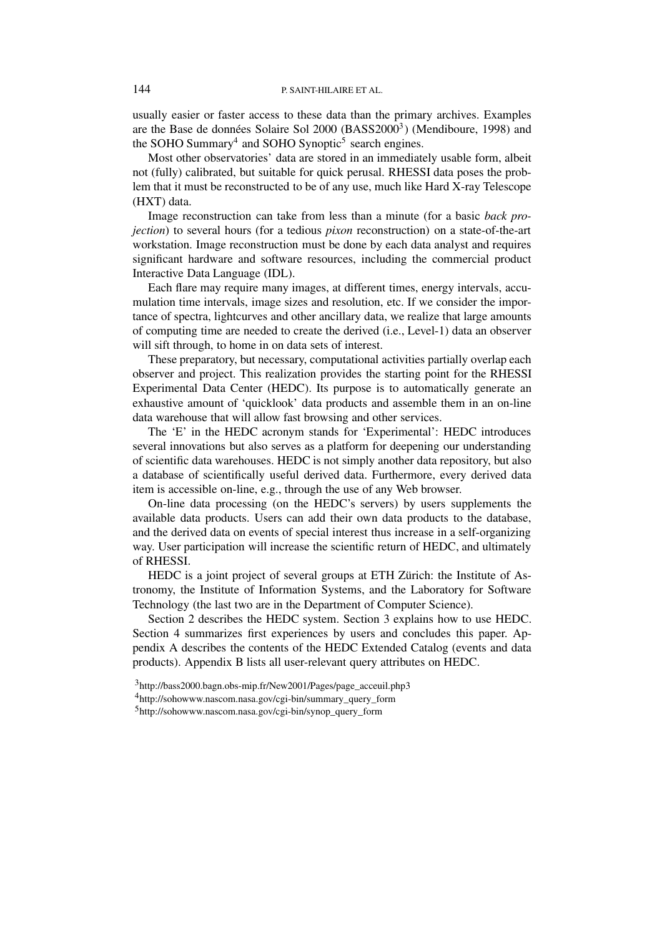usually easier or faster access to these data than the primary archives. Examples are the Base de données Solaire Sol 2000 (BASS20003 ) (Mendiboure, 1998) and the SOHO Summary<sup>4</sup> and SOHO Synoptic<sup>5</sup> search engines.

Most other observatories' data are stored in an immediately usable form, albeit not (fully) calibrated, but suitable for quick perusal. RHESSI data poses the problem that it must be reconstructed to be of any use, much like Hard X-ray Telescope (HXT) data.

Image reconstruction can take from less than a minute (for a basic *back projection*) to several hours (for a tedious *pixon* reconstruction) on a state-of-the-art workstation. Image reconstruction must be done by each data analyst and requires significant hardware and software resources, including the commercial product Interactive Data Language (IDL).

Each flare may require many images, at different times, energy intervals, accumulation time intervals, image sizes and resolution, etc. If we consider the importance of spectra, lightcurves and other ancillary data, we realize that large amounts of computing time are needed to create the derived (i.e., Level-1) data an observer will sift through, to home in on data sets of interest.

These preparatory, but necessary, computational activities partially overlap each observer and project. This realization provides the starting point for the RHESSI Experimental Data Center (HEDC). Its purpose is to automatically generate an exhaustive amount of 'quicklook' data products and assemble them in an on-line data warehouse that will allow fast browsing and other services.

The 'E' in the HEDC acronym stands for 'Experimental': HEDC introduces several innovations but also serves as a platform for deepening our understanding of scientific data warehouses. HEDC is not simply another data repository, but also a database of scientifically useful derived data. Furthermore, every derived data item is accessible on-line, e.g., through the use of any Web browser.

On-line data processing (on the HEDC's servers) by users supplements the available data products. Users can add their own data products to the database, and the derived data on events of special interest thus increase in a self-organizing way. User participation will increase the scientific return of HEDC, and ultimately of RHESSI.

HEDC is a joint project of several groups at ETH Zürich: the Institute of Astronomy, the Institute of Information Systems, and the Laboratory for Software Technology (the last two are in the Department of Computer Science).

Section 2 describes the HEDC system. Section 3 explains how to use HEDC. Section 4 summarizes first experiences by users and concludes this paper. Appendix A describes the contents of the HEDC Extended Catalog (events and data products). Appendix B lists all user-relevant query attributes on HEDC.

<sup>3</sup>http://bass2000.bagn.obs-mip.fr/New2001/Pages/page\_acceuil.php3

<sup>4</sup>http://sohowww.nascom.nasa.gov/cgi-bin/summary\_query\_form

<sup>5</sup>http://sohowww.nascom.nasa.gov/cgi-bin/synop\_query\_form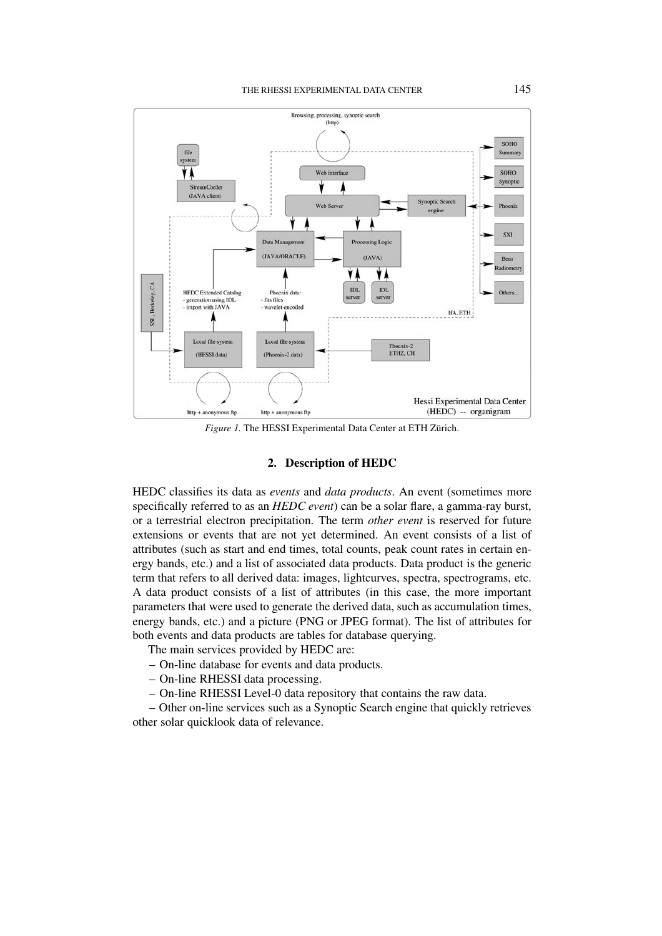

*Figure 1.* The HESSI Experimental Data Center at ETH Zürich.

## **2. Description of HEDC**

HEDC classifies its data as *events* and *data products*. An event (sometimes more specifically referred to as an *HEDC event*) can be a solar flare, a gamma-ray burst, or a terrestrial electron precipitation. The term *other event* is reserved for future extensions or events that are not yet determined. An event consists of a list of attributes (such as start and end times, total counts, peak count rates in certain energy bands, etc.) and a list of associated data products. Data product is the generic term that refers to all derived data: images, lightcurves, spectra, spectrograms, etc. A data product consists of a list of attributes (in this case, the more important parameters that were used to generate the derived data, such as accumulation times, energy bands, etc.) and a picture (PNG or JPEG format). The list of attributes for both events and data products are tables for database querying.

The main services provided by HEDC are:

- On-line database for events and data products.
- On-line RHESSI data processing.
- On-line RHESSI Level-0 data repository that contains the raw data.

– Other on-line services such as a Synoptic Search engine that quickly retrieves other solar quicklook data of relevance.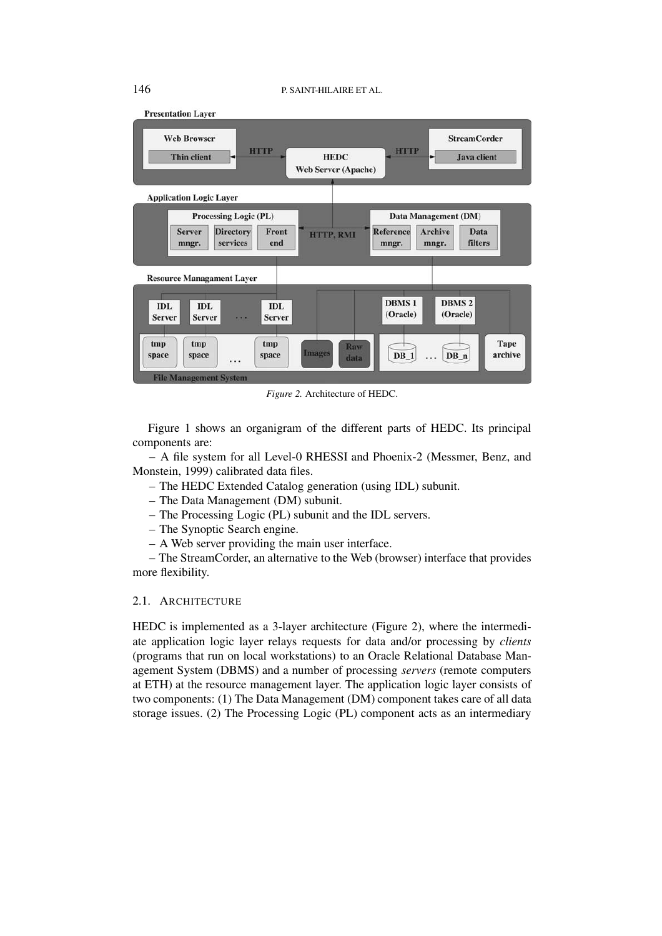### 146 P. SAINT-HILAIRE ET AL.



*Figure 2.* Architecture of HEDC.

Figure 1 shows an organigram of the different parts of HEDC. Its principal components are:

– A file system for all Level-0 RHESSI and Phoenix-2 (Messmer, Benz, and Monstein, 1999) calibrated data files.

– The HEDC Extended Catalog generation (using IDL) subunit.

- The Data Management (DM) subunit.
- The Processing Logic (PL) subunit and the IDL servers.
- The Synoptic Search engine.
- A Web server providing the main user interface.

– The StreamCorder, an alternative to the Web (browser) interface that provides more flexibility.

# 2.1. ARCHITECTURE

HEDC is implemented as a 3-layer architecture (Figure 2), where the intermediate application logic layer relays requests for data and/or processing by *clients* (programs that run on local workstations) to an Oracle Relational Database Management System (DBMS) and a number of processing *servers* (remote computers at ETH) at the resource management layer. The application logic layer consists of two components: (1) The Data Management (DM) component takes care of all data storage issues. (2) The Processing Logic (PL) component acts as an intermediary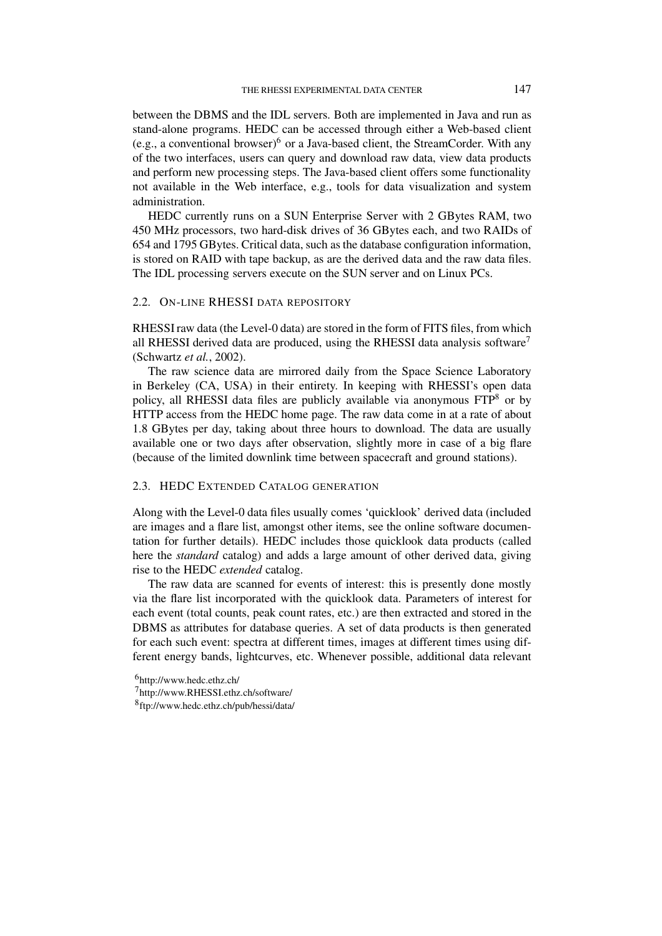between the DBMS and the IDL servers. Both are implemented in Java and run as stand-alone programs. HEDC can be accessed through either a Web-based client  $(e.g., a conventional browser)<sup>6</sup>$  or a Java-based client, the StreamCorder. With any of the two interfaces, users can query and download raw data, view data products and perform new processing steps. The Java-based client offers some functionality not available in the Web interface, e.g., tools for data visualization and system administration.

HEDC currently runs on a SUN Enterprise Server with 2 GBytes RAM, two 450 MHz processors, two hard-disk drives of 36 GBytes each, and two RAIDs of 654 and 1795 GBytes. Critical data, such as the database configuration information, is stored on RAID with tape backup, as are the derived data and the raw data files. The IDL processing servers execute on the SUN server and on Linux PCs.

#### 2.2. ON-LINE RHESSI DATA REPOSITORY

RHESSI raw data (the Level-0 data) are stored in the form of FITS files, from which all RHESSI derived data are produced, using the RHESSI data analysis software<sup>7</sup> (Schwartz *et al.*, 2002).

The raw science data are mirrored daily from the Space Science Laboratory in Berkeley (CA, USA) in their entirety. In keeping with RHESSI's open data policy, all RHESSI data files are publicly available via anonymous  $FTP<sup>8</sup>$  or by HTTP access from the HEDC home page. The raw data come in at a rate of about 1.8 GBytes per day, taking about three hours to download. The data are usually available one or two days after observation, slightly more in case of a big flare (because of the limited downlink time between spacecraft and ground stations).

#### 2.3. HEDC EXTENDED CATALOG GENERATION

Along with the Level-0 data files usually comes 'quicklook' derived data (included are images and a flare list, amongst other items, see the online software documentation for further details). HEDC includes those quicklook data products (called here the *standard* catalog) and adds a large amount of other derived data, giving rise to the HEDC *extended* catalog.

The raw data are scanned for events of interest: this is presently done mostly via the flare list incorporated with the quicklook data. Parameters of interest for each event (total counts, peak count rates, etc.) are then extracted and stored in the DBMS as attributes for database queries. A set of data products is then generated for each such event: spectra at different times, images at different times using different energy bands, lightcurves, etc. Whenever possible, additional data relevant

6http://www.hedc.ethz.ch/ 7http://www.RHESSI.ethz.ch/software/ 8ftp://www.hedc.ethz.ch/pub/hessi/data/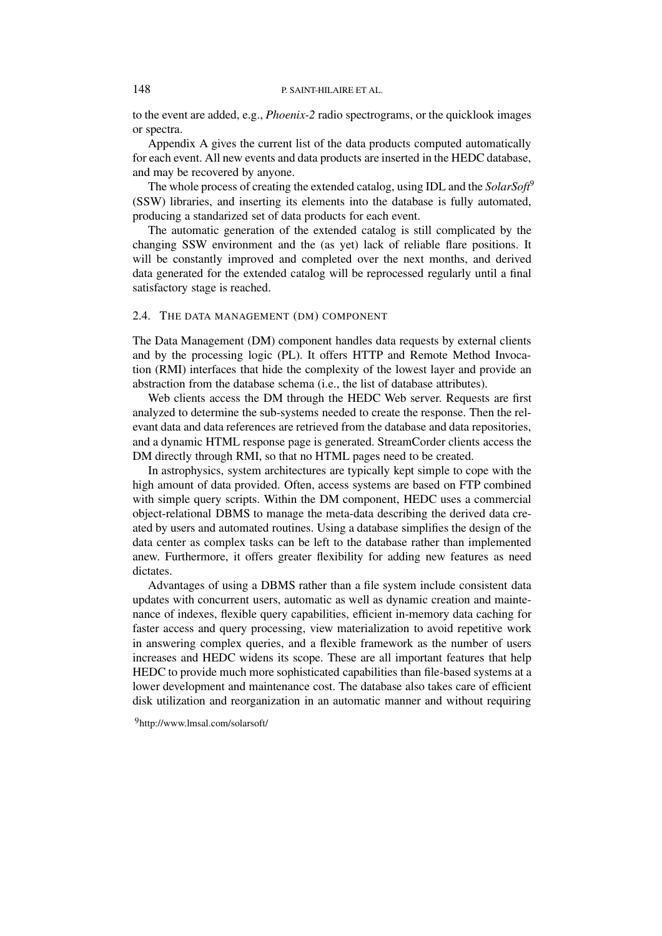#### 148 P. SAINT-HILAIRE ET AL.

to the event are added, e.g., *Phoenix-2* radio spectrograms, or the quicklook images or spectra.

Appendix A gives the current list of the data products computed automatically for each event. All new events and data products are inserted in the HEDC database, and may be recovered by anyone.

The whole process of creating the extended catalog, using IDL and the *SolarSoft*<sup>9</sup> (SSW) libraries, and inserting its elements into the database is fully automated, producing a standarized set of data products for each event.

The automatic generation of the extended catalog is still complicated by the changing SSW environment and the (as yet) lack of reliable flare positions. It will be constantly improved and completed over the next months, and derived data generated for the extended catalog will be reprocessed regularly until a final satisfactory stage is reached.

# 2.4. THE DATA MANAGEMENT (DM) COMPONENT

The Data Management (DM) component handles data requests by external clients and by the processing logic (PL). It offers HTTP and Remote Method Invocation (RMI) interfaces that hide the complexity of the lowest layer and provide an abstraction from the database schema (i.e., the list of database attributes).

Web clients access the DM through the HEDC Web server. Requests are first analyzed to determine the sub-systems needed to create the response. Then the relevant data and data references are retrieved from the database and data repositories, and a dynamic HTML response page is generated. StreamCorder clients access the DM directly through RMI, so that no HTML pages need to be created.

In astrophysics, system architectures are typically kept simple to cope with the high amount of data provided. Often, access systems are based on FTP combined with simple query scripts. Within the DM component, HEDC uses a commercial object-relational DBMS to manage the meta-data describing the derived data created by users and automated routines. Using a database simplifies the design of the data center as complex tasks can be left to the database rather than implemented anew. Furthermore, it offers greater flexibility for adding new features as need dictates.

Advantages of using a DBMS rather than a file system include consistent data updates with concurrent users, automatic as well as dynamic creation and maintenance of indexes, flexible query capabilities, efficient in-memory data caching for faster access and query processing, view materialization to avoid repetitive work in answering complex queries, and a flexible framework as the number of users increases and HEDC widens its scope. These are all important features that help HEDC to provide much more sophisticated capabilities than file-based systems at a lower development and maintenance cost. The database also takes care of efficient disk utilization and reorganization in an automatic manner and without requiring

9http://www.lmsal.com/solarsoft/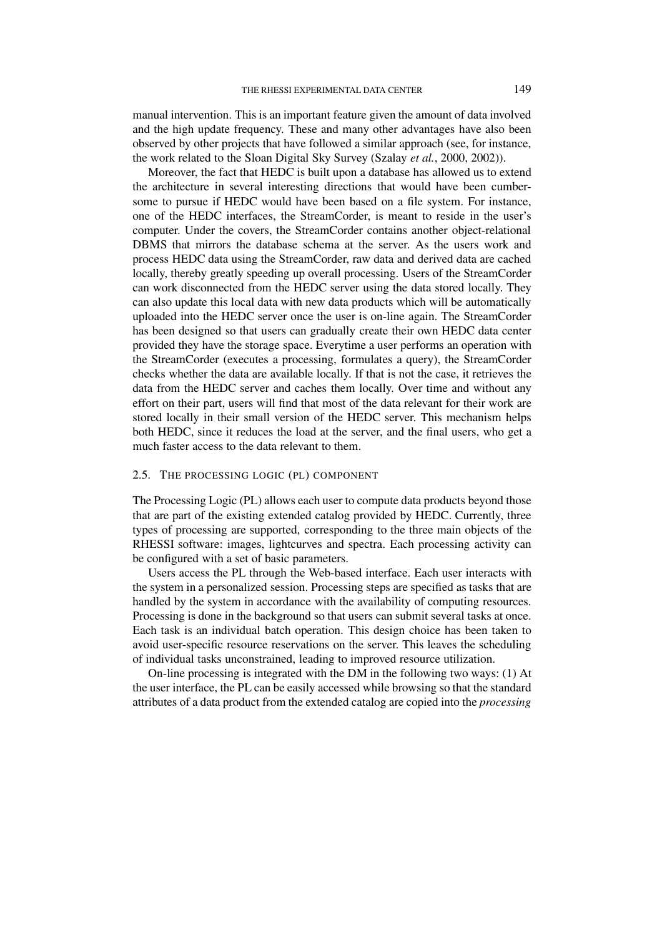manual intervention. This is an important feature given the amount of data involved and the high update frequency. These and many other advantages have also been observed by other projects that have followed a similar approach (see, for instance, the work related to the Sloan Digital Sky Survey (Szalay *et al.*, 2000, 2002)).

Moreover, the fact that HEDC is built upon a database has allowed us to extend the architecture in several interesting directions that would have been cumbersome to pursue if HEDC would have been based on a file system. For instance, one of the HEDC interfaces, the StreamCorder, is meant to reside in the user's computer. Under the covers, the StreamCorder contains another object-relational DBMS that mirrors the database schema at the server. As the users work and process HEDC data using the StreamCorder, raw data and derived data are cached locally, thereby greatly speeding up overall processing. Users of the StreamCorder can work disconnected from the HEDC server using the data stored locally. They can also update this local data with new data products which will be automatically uploaded into the HEDC server once the user is on-line again. The StreamCorder has been designed so that users can gradually create their own HEDC data center provided they have the storage space. Everytime a user performs an operation with the StreamCorder (executes a processing, formulates a query), the StreamCorder checks whether the data are available locally. If that is not the case, it retrieves the data from the HEDC server and caches them locally. Over time and without any effort on their part, users will find that most of the data relevant for their work are stored locally in their small version of the HEDC server. This mechanism helps both HEDC, since it reduces the load at the server, and the final users, who get a much faster access to the data relevant to them.

#### 2.5. THE PROCESSING LOGIC (PL) COMPONENT

The Processing Logic (PL) allows each user to compute data products beyond those that are part of the existing extended catalog provided by HEDC. Currently, three types of processing are supported, corresponding to the three main objects of the RHESSI software: images, lightcurves and spectra. Each processing activity can be configured with a set of basic parameters.

Users access the PL through the Web-based interface. Each user interacts with the system in a personalized session. Processing steps are specified as tasks that are handled by the system in accordance with the availability of computing resources. Processing is done in the background so that users can submit several tasks at once. Each task is an individual batch operation. This design choice has been taken to avoid user-specific resource reservations on the server. This leaves the scheduling of individual tasks unconstrained, leading to improved resource utilization.

On-line processing is integrated with the DM in the following two ways: (1) At the user interface, the PL can be easily accessed while browsing so that the standard attributes of a data product from the extended catalog are copied into the *processing*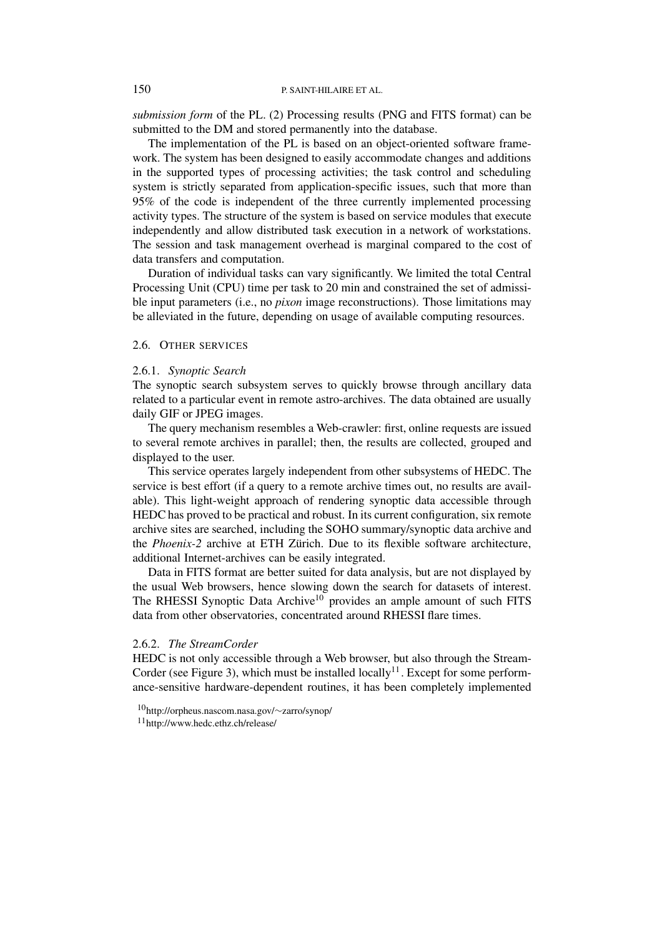*submission form* of the PL. (2) Processing results (PNG and FITS format) can be submitted to the DM and stored permanently into the database.

The implementation of the PL is based on an object-oriented software framework. The system has been designed to easily accommodate changes and additions in the supported types of processing activities; the task control and scheduling system is strictly separated from application-specific issues, such that more than 95% of the code is independent of the three currently implemented processing activity types. The structure of the system is based on service modules that execute independently and allow distributed task execution in a network of workstations. The session and task management overhead is marginal compared to the cost of data transfers and computation.

Duration of individual tasks can vary significantly. We limited the total Central Processing Unit (CPU) time per task to 20 min and constrained the set of admissible input parameters (i.e., no *pixon* image reconstructions). Those limitations may be alleviated in the future, depending on usage of available computing resources.

# 2.6. OTHER SERVICES

#### 2.6.1. *Synoptic Search*

The synoptic search subsystem serves to quickly browse through ancillary data related to a particular event in remote astro-archives. The data obtained are usually daily GIF or JPEG images.

The query mechanism resembles a Web-crawler: first, online requests are issued to several remote archives in parallel; then, the results are collected, grouped and displayed to the user.

This service operates largely independent from other subsystems of HEDC. The service is best effort (if a query to a remote archive times out, no results are available). This light-weight approach of rendering synoptic data accessible through HEDC has proved to be practical and robust. In its current configuration, six remote archive sites are searched, including the SOHO summary/synoptic data archive and the *Phoenix-2* archive at ETH Zürich. Due to its flexible software architecture, additional Internet-archives can be easily integrated.

Data in FITS format are better suited for data analysis, but are not displayed by the usual Web browsers, hence slowing down the search for datasets of interest. The RHESSI Synoptic Data Archive<sup>10</sup> provides an ample amount of such FITS data from other observatories, concentrated around RHESSI flare times.

#### 2.6.2. *The StreamCorder*

HEDC is not only accessible through a Web browser, but also through the Stream-Corder (see Figure 3), which must be installed locally<sup>11</sup>. Except for some performance-sensitive hardware-dependent routines, it has been completely implemented

<sup>10</sup>http://orpheus.nascom.nasa.gov/∼zarro/synop/

<sup>11</sup>http://www.hedc.ethz.ch/release/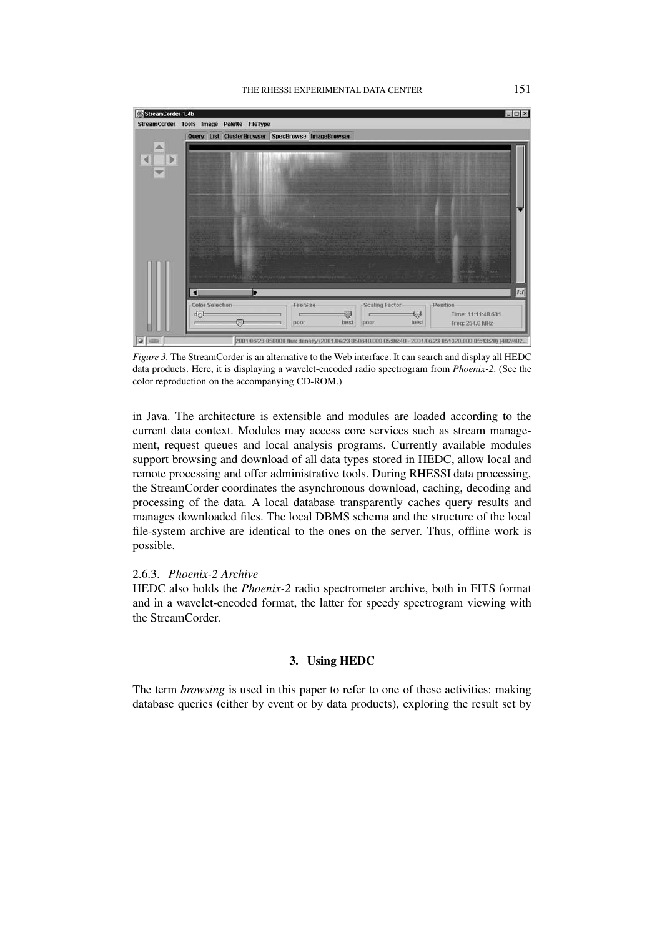

*Figure 3.* The StreamCorder is an alternative to the Web interface. It can search and display all HEDC data products. Here, it is displaying a wavelet-encoded radio spectrogram from *Phoenix-2*. (See the color reproduction on the accompanying CD-ROM.)

in Java. The architecture is extensible and modules are loaded according to the current data context. Modules may access core services such as stream management, request queues and local analysis programs. Currently available modules support browsing and download of all data types stored in HEDC, allow local and remote processing and offer administrative tools. During RHESSI data processing, the StreamCorder coordinates the asynchronous download, caching, decoding and processing of the data. A local database transparently caches query results and manages downloaded files. The local DBMS schema and the structure of the local file-system archive are identical to the ones on the server. Thus, offline work is possible.

#### 2.6.3. *Phoenix-2 Archive*

HEDC also holds the *Phoenix-2* radio spectrometer archive, both in FITS format and in a wavelet-encoded format, the latter for speedy spectrogram viewing with the StreamCorder.

## **3. Using HEDC**

The term *browsing* is used in this paper to refer to one of these activities: making database queries (either by event or by data products), exploring the result set by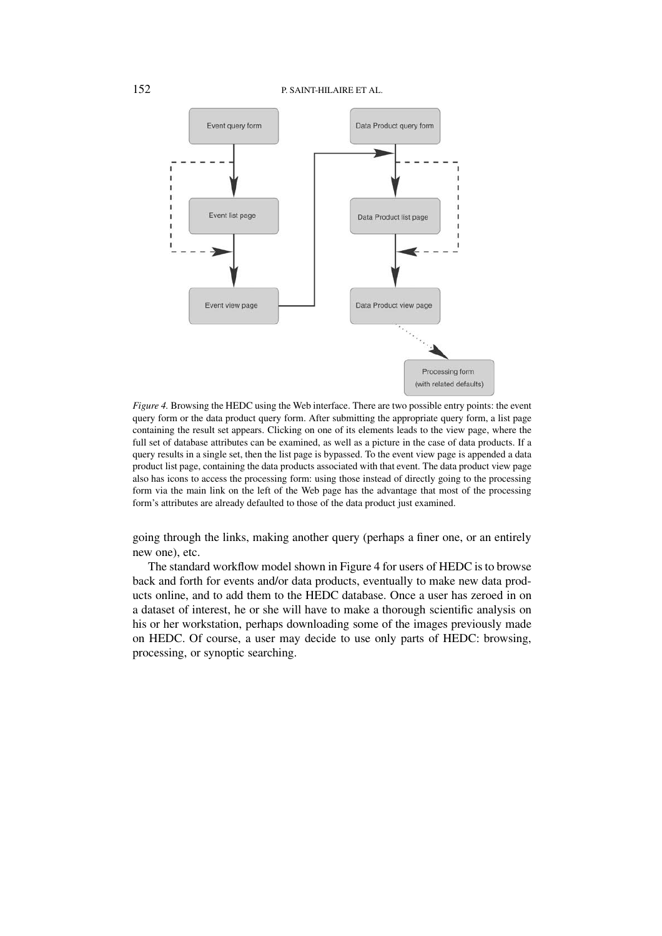

*Figure 4.* Browsing the HEDC using the Web interface. There are two possible entry points: the event query form or the data product query form. After submitting the appropriate query form, a list page containing the result set appears. Clicking on one of its elements leads to the view page, where the full set of database attributes can be examined, as well as a picture in the case of data products. If a query results in a single set, then the list page is bypassed. To the event view page is appended a data product list page, containing the data products associated with that event. The data product view page also has icons to access the processing form: using those instead of directly going to the processing form via the main link on the left of the Web page has the advantage that most of the processing form's attributes are already defaulted to those of the data product just examined.

going through the links, making another query (perhaps a finer one, or an entirely new one), etc.

The standard workflow model shown in Figure 4 for users of HEDC is to browse back and forth for events and/or data products, eventually to make new data products online, and to add them to the HEDC database. Once a user has zeroed in on a dataset of interest, he or she will have to make a thorough scientific analysis on his or her workstation, perhaps downloading some of the images previously made on HEDC. Of course, a user may decide to use only parts of HEDC: browsing, processing, or synoptic searching.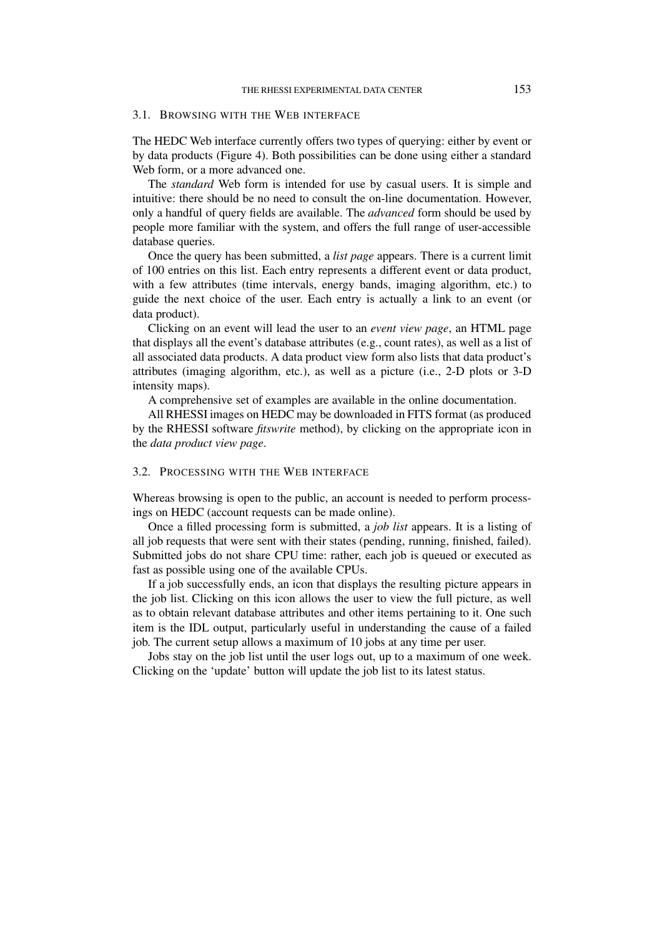### 3.1. BROWSING WITH THE WEB INTERFACE

The HEDC Web interface currently offers two types of querying: either by event or by data products (Figure 4). Both possibilities can be done using either a standard Web form, or a more advanced one.

The *standard* Web form is intended for use by casual users. It is simple and intuitive: there should be no need to consult the on-line documentation. However, only a handful of query fields are available. The *advanced* form should be used by people more familiar with the system, and offers the full range of user-accessible database queries.

Once the query has been submitted, a *list page* appears. There is a current limit of 100 entries on this list. Each entry represents a different event or data product, with a few attributes (time intervals, energy bands, imaging algorithm, etc.) to guide the next choice of the user. Each entry is actually a link to an event (or data product).

Clicking on an event will lead the user to an *event view page*, an HTML page that displays all the event's database attributes (e.g., count rates), as well as a list of all associated data products. A data product view form also lists that data product's attributes (imaging algorithm, etc.), as well as a picture (i.e., 2-D plots or 3-D intensity maps).

A comprehensive set of examples are available in the online documentation.

All RHESSI images on HEDC may be downloaded in FITS format (as produced by the RHESSI software *fitswrite* method), by clicking on the appropriate icon in the *data product view page*.

# 3.2. PROCESSING WITH THE WEB INTERFACE

Whereas browsing is open to the public, an account is needed to perform processings on HEDC (account requests can be made online).

Once a filled processing form is submitted, a *job list* appears. It is a listing of all job requests that were sent with their states (pending, running, finished, failed). Submitted jobs do not share CPU time: rather, each job is queued or executed as fast as possible using one of the available CPUs.

If a job successfully ends, an icon that displays the resulting picture appears in the job list. Clicking on this icon allows the user to view the full picture, as well as to obtain relevant database attributes and other items pertaining to it. One such item is the IDL output, particularly useful in understanding the cause of a failed job. The current setup allows a maximum of 10 jobs at any time per user.

Jobs stay on the job list until the user logs out, up to a maximum of one week. Clicking on the 'update' button will update the job list to its latest status.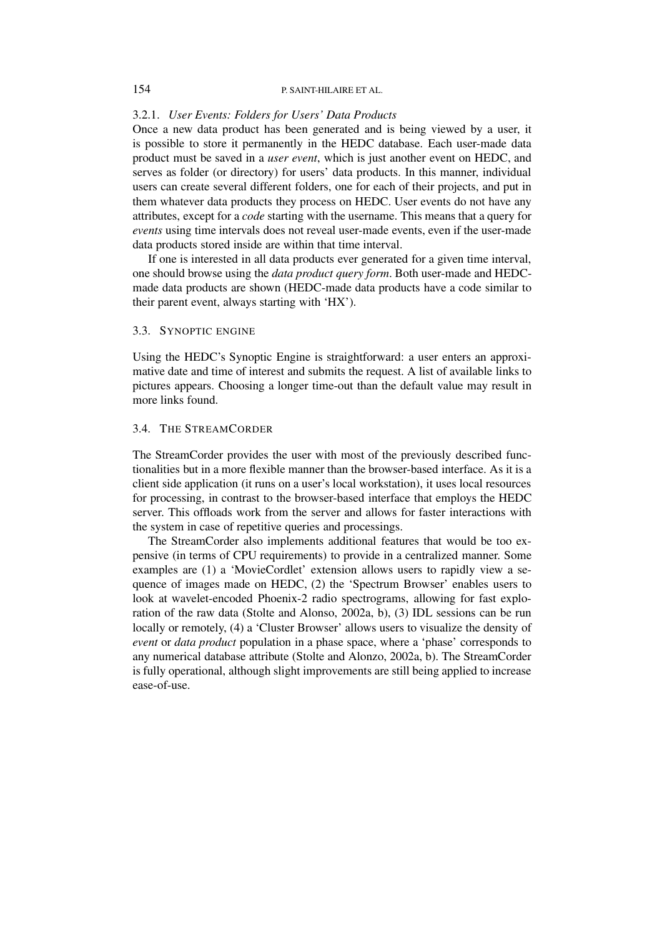#### 3.2.1. *User Events: Folders for Users' Data Products*

Once a new data product has been generated and is being viewed by a user, it is possible to store it permanently in the HEDC database. Each user-made data product must be saved in a *user event*, which is just another event on HEDC, and serves as folder (or directory) for users' data products. In this manner, individual users can create several different folders, one for each of their projects, and put in them whatever data products they process on HEDC. User events do not have any attributes, except for a *code* starting with the username. This means that a query for *events* using time intervals does not reveal user-made events, even if the user-made data products stored inside are within that time interval.

If one is interested in all data products ever generated for a given time interval, one should browse using the *data product query form*. Both user-made and HEDCmade data products are shown (HEDC-made data products have a code similar to their parent event, always starting with 'HX').

#### 3.3. SYNOPTIC ENGINE

Using the HEDC's Synoptic Engine is straightforward: a user enters an approximative date and time of interest and submits the request. A list of available links to pictures appears. Choosing a longer time-out than the default value may result in more links found.

## 3.4. THE STREAMCORDER

The StreamCorder provides the user with most of the previously described functionalities but in a more flexible manner than the browser-based interface. As it is a client side application (it runs on a user's local workstation), it uses local resources for processing, in contrast to the browser-based interface that employs the HEDC server. This offloads work from the server and allows for faster interactions with the system in case of repetitive queries and processings.

The StreamCorder also implements additional features that would be too expensive (in terms of CPU requirements) to provide in a centralized manner. Some examples are (1) a 'MovieCordlet' extension allows users to rapidly view a sequence of images made on HEDC, (2) the 'Spectrum Browser' enables users to look at wavelet-encoded Phoenix-2 radio spectrograms, allowing for fast exploration of the raw data (Stolte and Alonso, 2002a, b), (3) IDL sessions can be run locally or remotely, (4) a 'Cluster Browser' allows users to visualize the density of *event* or *data product* population in a phase space, where a 'phase' corresponds to any numerical database attribute (Stolte and Alonzo, 2002a, b). The StreamCorder is fully operational, although slight improvements are still being applied to increase ease-of-use.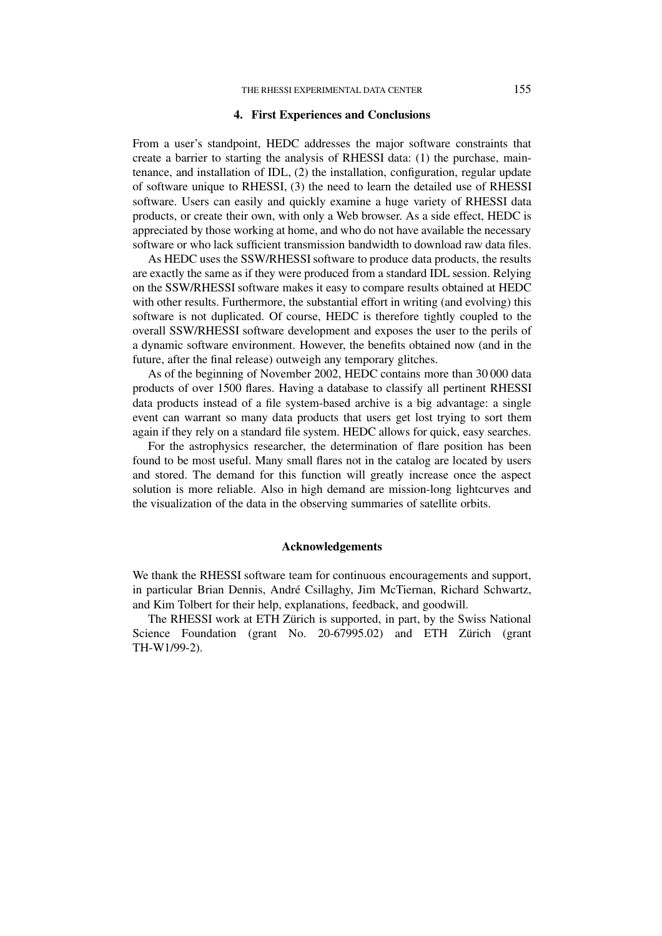### **4. First Experiences and Conclusions**

From a user's standpoint, HEDC addresses the major software constraints that create a barrier to starting the analysis of RHESSI data: (1) the purchase, maintenance, and installation of IDL, (2) the installation, configuration, regular update of software unique to RHESSI, (3) the need to learn the detailed use of RHESSI software. Users can easily and quickly examine a huge variety of RHESSI data products, or create their own, with only a Web browser. As a side effect, HEDC is appreciated by those working at home, and who do not have available the necessary software or who lack sufficient transmission bandwidth to download raw data files.

As HEDC uses the SSW/RHESSI software to produce data products, the results are exactly the same as if they were produced from a standard IDL session. Relying on the SSW/RHESSI software makes it easy to compare results obtained at HEDC with other results. Furthermore, the substantial effort in writing (and evolving) this software is not duplicated. Of course, HEDC is therefore tightly coupled to the overall SSW/RHESSI software development and exposes the user to the perils of a dynamic software environment. However, the benefits obtained now (and in the future, after the final release) outweigh any temporary glitches.

As of the beginning of November 2002, HEDC contains more than 30 000 data products of over 1500 flares. Having a database to classify all pertinent RHESSI data products instead of a file system-based archive is a big advantage: a single event can warrant so many data products that users get lost trying to sort them again if they rely on a standard file system. HEDC allows for quick, easy searches.

For the astrophysics researcher, the determination of flare position has been found to be most useful. Many small flares not in the catalog are located by users and stored. The demand for this function will greatly increase once the aspect solution is more reliable. Also in high demand are mission-long lightcurves and the visualization of the data in the observing summaries of satellite orbits.

#### **Acknowledgements**

We thank the RHESSI software team for continuous encouragements and support, in particular Brian Dennis, André Csillaghy, Jim McTiernan, Richard Schwartz, and Kim Tolbert for their help, explanations, feedback, and goodwill.

The RHESSI work at ETH Zürich is supported, in part, by the Swiss National Science Foundation (grant No. 20-67995.02) and ETH Zürich (grant TH-W1/99-2).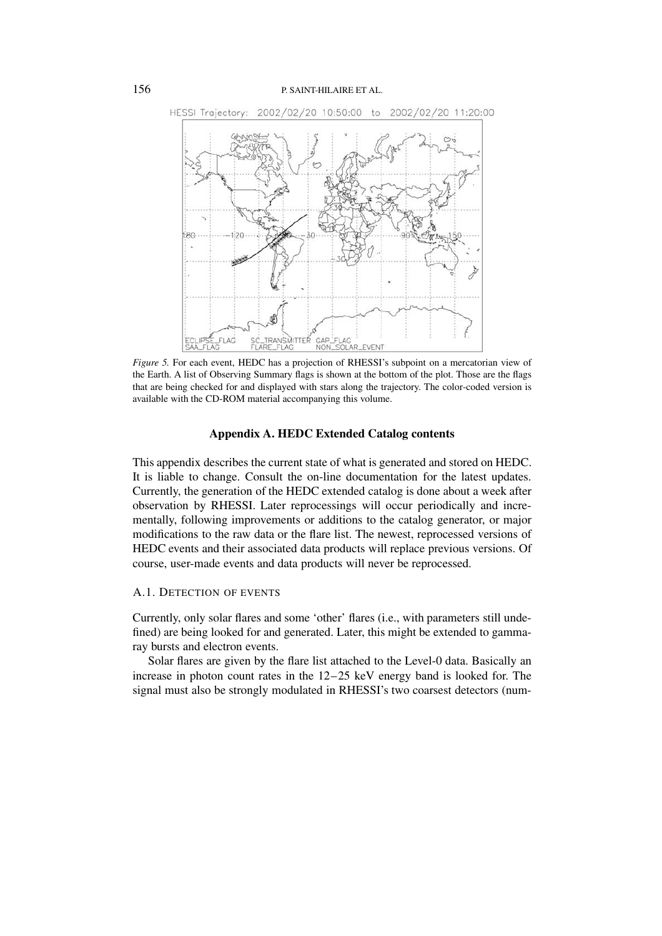

*Figure 5.* For each event, HEDC has a projection of RHESSI's subpoint on a mercatorian view of the Earth. A list of Observing Summary flags is shown at the bottom of the plot. Those are the flags that are being checked for and displayed with stars along the trajectory. The color-coded version is available with the CD-ROM material accompanying this volume.

### **Appendix A. HEDC Extended Catalog contents**

This appendix describes the current state of what is generated and stored on HEDC. It is liable to change. Consult the on-line documentation for the latest updates. Currently, the generation of the HEDC extended catalog is done about a week after observation by RHESSI. Later reprocessings will occur periodically and incrementally, following improvements or additions to the catalog generator, or major modifications to the raw data or the flare list. The newest, reprocessed versions of HEDC events and their associated data products will replace previous versions. Of course, user-made events and data products will never be reprocessed.

### A.1. DETECTION OF EVENTS

Currently, only solar flares and some 'other' flares (i.e., with parameters still undefined) are being looked for and generated. Later, this might be extended to gammaray bursts and electron events.

Solar flares are given by the flare list attached to the Level-0 data. Basically an increase in photon count rates in the 12–25 keV energy band is looked for. The signal must also be strongly modulated in RHESSI's two coarsest detectors (num-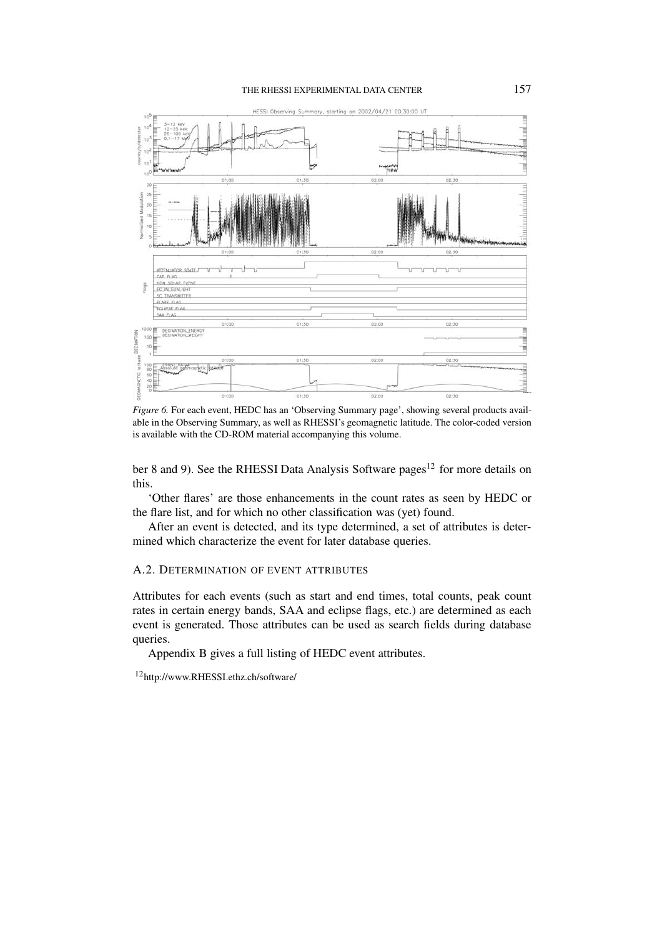#### THE RHESSI EXPERIMENTAL DATA CENTER 157



*Figure 6.* For each event, HEDC has an 'Observing Summary page', showing several products available in the Observing Summary, as well as RHESSI's geomagnetic latitude. The color-coded version is available with the CD-ROM material accompanying this volume.

ber 8 and 9). See the RHESSI Data Analysis Software pages $12$  for more details on this.

'Other flares' are those enhancements in the count rates as seen by HEDC or the flare list, and for which no other classification was (yet) found.

After an event is detected, and its type determined, a set of attributes is determined which characterize the event for later database queries.

#### A.2. DETERMINATION OF EVENT ATTRIBUTES

Attributes for each events (such as start and end times, total counts, peak count rates in certain energy bands, SAA and eclipse flags, etc.) are determined as each event is generated. Those attributes can be used as search fields during database queries.

Appendix B gives a full listing of HEDC event attributes.

12http://www.RHESSI.ethz.ch/software/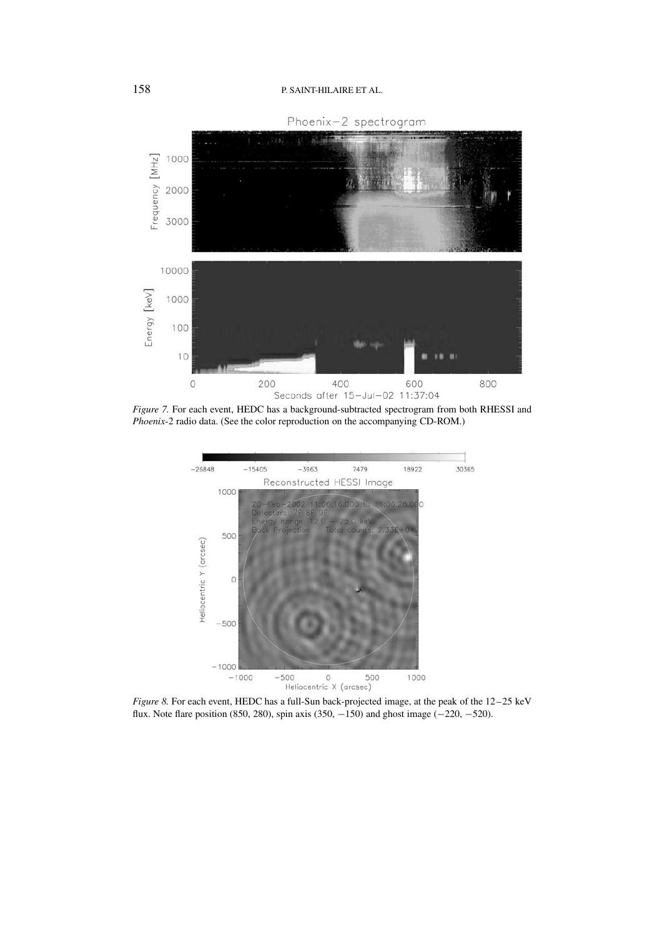# 158 P. SAINT-HILAIRE ET AL.



*Figure 7.* For each event, HEDC has a background-subtracted spectrogram from both RHESSI and *Phoenix*-2 radio data. (See the color reproduction on the accompanying CD-ROM.)



*Figure 8.* For each event, HEDC has a full-Sun back-projected image, at the peak of the 12–25 keV flux. Note flare position (850, 280), spin axis (350,  $-150$ ) and ghost image ( $-220, -520$ ).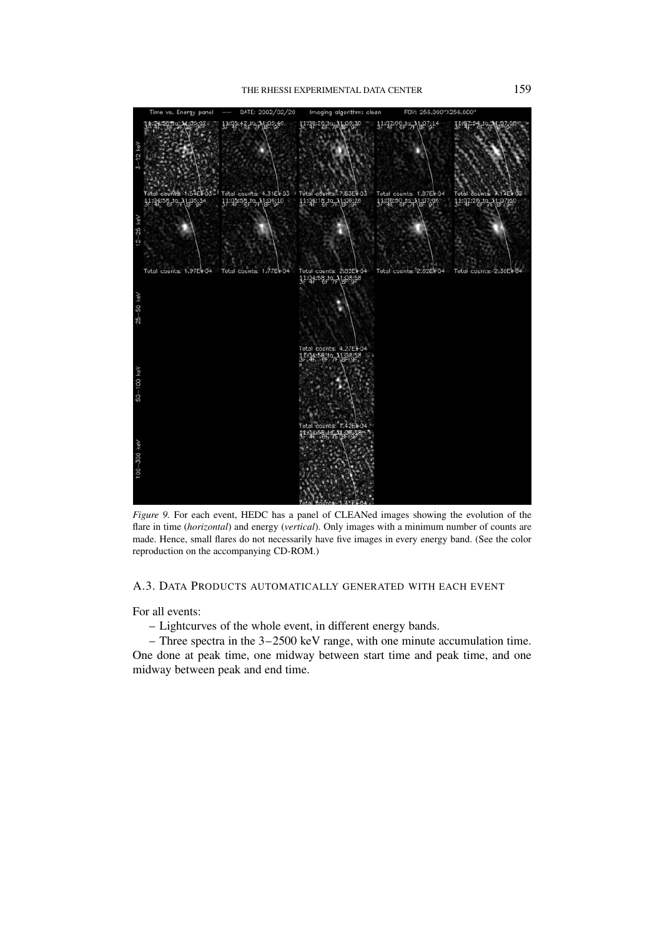

*Figure 9.* For each event, HEDC has a panel of CLEANed images showing the evolution of the flare in time (*horizontal*) and energy (*vertical*). Only images with a minimum number of counts are made. Hence, small flares do not necessarily have five images in every energy band. (See the color reproduction on the accompanying CD-ROM.)

#### A.3. DATA PRODUCTS AUTOMATICALLY GENERATED WITH EACH EVENT

For all events:

– Lightcurves of the whole event, in different energy bands.

– Three spectra in the 3–2500 keV range, with one minute accumulation time. One done at peak time, one midway between start time and peak time, and one midway between peak and end time.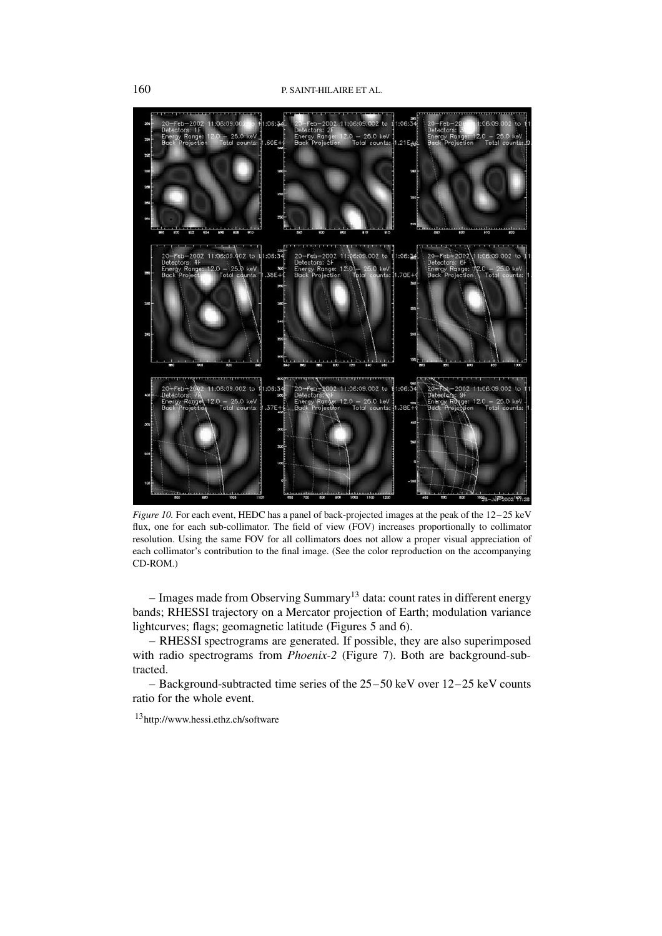

*Figure 10.* For each event, HEDC has a panel of back-projected images at the peak of the 12–25 keV flux, one for each sub-collimator. The field of view (FOV) increases proportionally to collimator resolution. Using the same FOV for all collimators does not allow a proper visual appreciation of each collimator's contribution to the final image. (See the color reproduction on the accompanying CD-ROM.)

– Images made from Observing Summary<sup>13</sup> data: count rates in different energy bands; RHESSI trajectory on a Mercator projection of Earth; modulation variance lightcurves; flags; geomagnetic latitude (Figures 5 and 6).

– RHESSI spectrograms are generated. If possible, they are also superimposed with radio spectrograms from *Phoenix-2* (Figure 7). Both are background-subtracted.

– Background-subtracted time series of the 25–50 keV over 12–25 keV counts ratio for the whole event.

13http://www.hessi.ethz.ch/software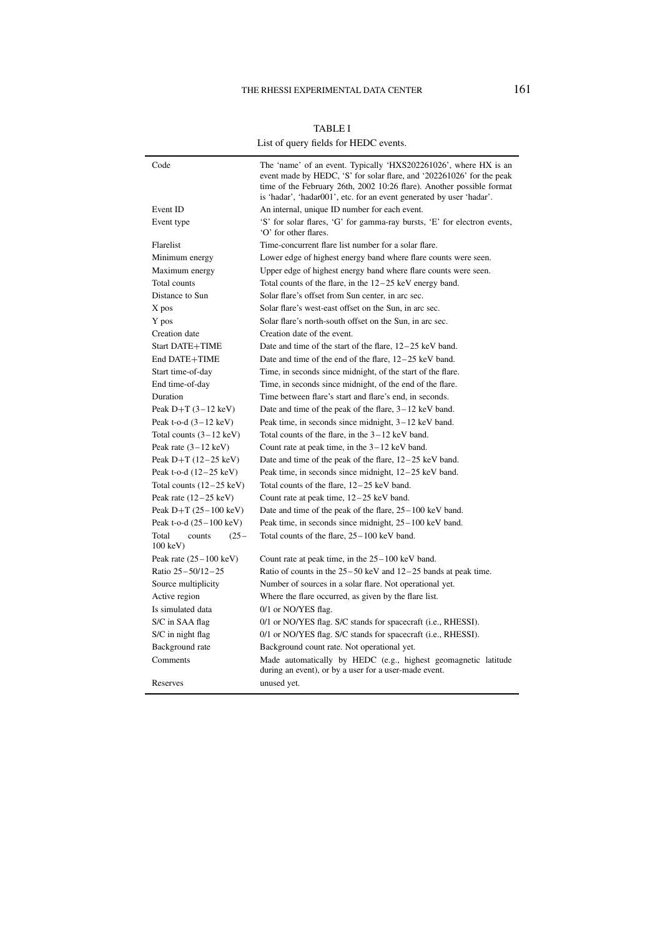|--|--|

List of query fields for HEDC events.

| Code                                            | The 'name' of an event. Typically 'HXS202261026', where HX is an<br>event made by HEDC, 'S' for solar flare, and '202261026' for the peak<br>time of the February 26th, 2002 10:26 flare). Another possible format<br>is 'hadar', 'hadar001', etc. for an event generated by user 'hadar'. |
|-------------------------------------------------|--------------------------------------------------------------------------------------------------------------------------------------------------------------------------------------------------------------------------------------------------------------------------------------------|
| Event ID                                        | An internal, unique ID number for each event.                                                                                                                                                                                                                                              |
| Event type                                      | 'S' for solar flares, 'G' for gamma-ray bursts, 'E' for electron events,<br>'O' for other flares.                                                                                                                                                                                          |
| Flarelist                                       | Time-concurrent flare list number for a solar flare.                                                                                                                                                                                                                                       |
| Minimum energy                                  | Lower edge of highest energy band where flare counts were seen.                                                                                                                                                                                                                            |
| Maximum energy                                  | Upper edge of highest energy band where flare counts were seen.                                                                                                                                                                                                                            |
| Total counts                                    | Total counts of the flare, in the $12-25$ keV energy band.                                                                                                                                                                                                                                 |
| Distance to Sun                                 | Solar flare's offset from Sun center, in arc sec.                                                                                                                                                                                                                                          |
| X pos                                           | Solar flare's west-east offset on the Sun, in arc sec.                                                                                                                                                                                                                                     |
| Y pos                                           | Solar flare's north-south offset on the Sun, in arc sec.                                                                                                                                                                                                                                   |
| Creation date                                   | Creation date of the event.                                                                                                                                                                                                                                                                |
| <b>Start DATE+TIME</b>                          | Date and time of the start of the flare, 12–25 keV band.                                                                                                                                                                                                                                   |
| End DATE+TIME                                   | Date and time of the end of the flare, $12-25$ keV band.                                                                                                                                                                                                                                   |
| Start time-of-day                               | Time, in seconds since midnight, of the start of the flare.                                                                                                                                                                                                                                |
| End time-of-day                                 | Time, in seconds since midnight, of the end of the flare.                                                                                                                                                                                                                                  |
| Duration                                        | Time between flare's start and flare's end, in seconds.                                                                                                                                                                                                                                    |
| Peak $D+T(3-12 \text{ keV})$                    | Date and time of the peak of the flare, $3-12$ keV band.                                                                                                                                                                                                                                   |
| Peak t-o-d $(3-12 \text{ keV})$                 | Peak time, in seconds since midnight, $3-12$ keV band.                                                                                                                                                                                                                                     |
| Total counts $(3-12 \text{ keV})$               | Total counts of the flare, in the $3-12$ keV band.                                                                                                                                                                                                                                         |
| Peak rate $(3-12 \text{ keV})$                  | Count rate at peak time, in the $3-12$ keV band.                                                                                                                                                                                                                                           |
| Peak D+T (12–25 keV)                            | Date and time of the peak of the flare, $12-25$ keV band.                                                                                                                                                                                                                                  |
| Peak t-o-d $(12-25 \text{ keV})$                | Peak time, in seconds since midnight, $12-25$ keV band.                                                                                                                                                                                                                                    |
| Total counts $(12-25 \text{ keV})$              | Total counts of the flare, $12-25$ keV band.                                                                                                                                                                                                                                               |
| Peak rate $(12-25 \text{ keV})$                 | Count rate at peak time, $12-25$ keV band.                                                                                                                                                                                                                                                 |
| Peak $D+T(25-100 \text{ keV})$                  | Date and time of the peak of the flare, $25-100$ keV band.                                                                                                                                                                                                                                 |
| Peak t-o-d $(25-100 \text{ keV})$               | Peak time, in seconds since midnight, $25-100$ keV band.                                                                                                                                                                                                                                   |
| $(25 -$<br>Total<br>counts<br>$100 \text{ keV}$ | Total counts of the flare, 25 – 100 keV band.                                                                                                                                                                                                                                              |
| Peak rate $(25-100 \text{ keV})$                | Count rate at peak time, in the $25-100$ keV band.                                                                                                                                                                                                                                         |
| Ratio 25-50/12-25                               | Ratio of counts in the $25-50$ keV and $12-25$ bands at peak time.                                                                                                                                                                                                                         |
| Source multiplicity                             | Number of sources in a solar flare. Not operational yet.                                                                                                                                                                                                                                   |
| Active region                                   | Where the flare occurred, as given by the flare list.                                                                                                                                                                                                                                      |
| Is simulated data                               | 0/1 or NO/YES flag.                                                                                                                                                                                                                                                                        |
| S/C in SAA flag                                 | 0/1 or NO/YES flag. S/C stands for spacecraft (i.e., RHESSI).                                                                                                                                                                                                                              |
| S/C in night flag                               | 0/1 or NO/YES flag. S/C stands for spacecraft (i.e., RHESSI).                                                                                                                                                                                                                              |
| Background rate                                 | Background count rate. Not operational yet.                                                                                                                                                                                                                                                |
| Comments                                        | Made automatically by HEDC (e.g., highest geomagnetic latitude<br>during an event), or by a user for a user-made event.                                                                                                                                                                    |
| Reserves                                        | unused yet.                                                                                                                                                                                                                                                                                |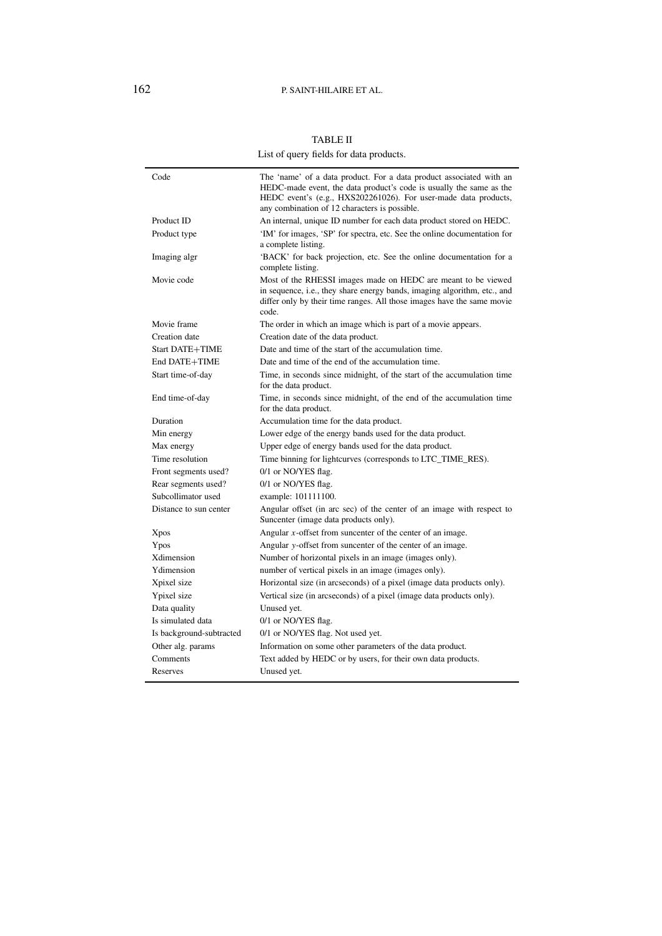# TABLE II

| List of query fields for data products. |  |  |
|-----------------------------------------|--|--|
|                                         |  |  |

| Code                     | The 'name' of a data product. For a data product associated with an<br>HEDC-made event, the data product's code is usually the same as the<br>HEDC event's (e.g., HXS202261026). For user-made data products,<br>any combination of 12 characters is possible. |  |  |
|--------------------------|----------------------------------------------------------------------------------------------------------------------------------------------------------------------------------------------------------------------------------------------------------------|--|--|
| Product ID               | An internal, unique ID number for each data product stored on HEDC.                                                                                                                                                                                            |  |  |
| Product type             | 'IM' for images, 'SP' for spectra, etc. See the online documentation for<br>a complete listing.                                                                                                                                                                |  |  |
| Imaging algr             | 'BACK' for back projection, etc. See the online documentation for a<br>complete listing.                                                                                                                                                                       |  |  |
| Movie code               | Most of the RHESSI images made on HEDC are meant to be viewed<br>in sequence, i.e., they share energy bands, imaging algorithm, etc., and<br>differ only by their time ranges. All those images have the same movie<br>code.                                   |  |  |
| Movie frame              | The order in which an image which is part of a movie appears.                                                                                                                                                                                                  |  |  |
| Creation date            | Creation date of the data product.                                                                                                                                                                                                                             |  |  |
| <b>Start DATE+TIME</b>   | Date and time of the start of the accumulation time.                                                                                                                                                                                                           |  |  |
| End DATE+TIME            | Date and time of the end of the accumulation time.                                                                                                                                                                                                             |  |  |
| Start time-of-day        | Time, in seconds since midnight, of the start of the accumulation time<br>for the data product.                                                                                                                                                                |  |  |
| End time-of-day          | Time, in seconds since midnight, of the end of the accumulation time<br>for the data product.                                                                                                                                                                  |  |  |
| Duration                 | Accumulation time for the data product.                                                                                                                                                                                                                        |  |  |
| Min energy               | Lower edge of the energy bands used for the data product.                                                                                                                                                                                                      |  |  |
| Max energy               | Upper edge of energy bands used for the data product.                                                                                                                                                                                                          |  |  |
| Time resolution          | Time binning for lightcurves (corresponds to LTC_TIME_RES).                                                                                                                                                                                                    |  |  |
| Front segments used?     | 0/1 or NO/YES flag.                                                                                                                                                                                                                                            |  |  |
| Rear segments used?      | 0/1 or NO/YES flag.                                                                                                                                                                                                                                            |  |  |
| Subcollimator used       | example: 101111100.                                                                                                                                                                                                                                            |  |  |
| Distance to sun center   | Angular offset (in arc sec) of the center of an image with respect to<br>Suncenter (image data products only).                                                                                                                                                 |  |  |
| Xpos                     | Angular $x$ -offset from suncenter of the center of an image.                                                                                                                                                                                                  |  |  |
| Ypos                     | Angular y-offset from suncenter of the center of an image.                                                                                                                                                                                                     |  |  |
| Xdimension               | Number of horizontal pixels in an image (images only).                                                                                                                                                                                                         |  |  |
| Ydimension               | number of vertical pixels in an image (images only).                                                                                                                                                                                                           |  |  |
| Xpixel size              | Horizontal size (in arcseconds) of a pixel (image data products only).                                                                                                                                                                                         |  |  |
| Ypixel size              | Vertical size (in arcseconds) of a pixel (image data products only).                                                                                                                                                                                           |  |  |
| Data quality             | Unused yet.                                                                                                                                                                                                                                                    |  |  |
| Is simulated data        | 0/1 or NO/YES flag.                                                                                                                                                                                                                                            |  |  |
| Is background-subtracted | 0/1 or NO/YES flag. Not used yet.                                                                                                                                                                                                                              |  |  |
| Other alg. params        | Information on some other parameters of the data product.                                                                                                                                                                                                      |  |  |
| Comments                 | Text added by HEDC or by users, for their own data products.                                                                                                                                                                                                   |  |  |
| Reserves                 | Unused yet.                                                                                                                                                                                                                                                    |  |  |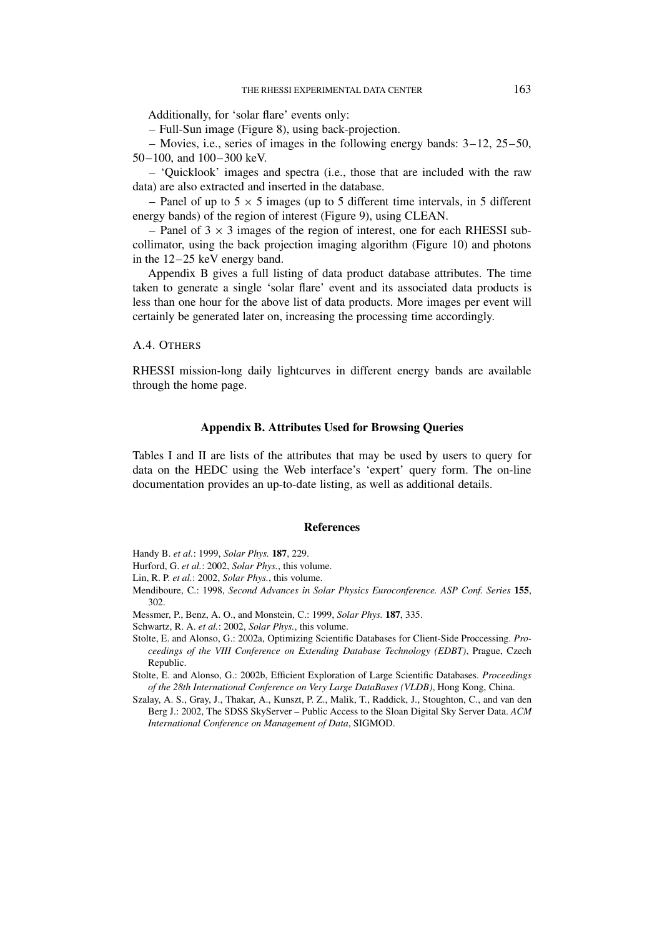Additionally, for 'solar flare' events only:

– Full-Sun image (Figure 8), using back-projection.

– Movies, i.e., series of images in the following energy bands: 3–12, 25–50, 50–100, and 100–300 keV.

– 'Quicklook' images and spectra (i.e., those that are included with the raw data) are also extracted and inserted in the database.

– Panel of up to  $5 \times 5$  images (up to 5 different time intervals, in 5 different energy bands) of the region of interest (Figure 9), using CLEAN.

– Panel of  $3 \times 3$  images of the region of interest, one for each RHESSI subcollimator, using the back projection imaging algorithm (Figure 10) and photons in the 12–25 keV energy band.

Appendix B gives a full listing of data product database attributes. The time taken to generate a single 'solar flare' event and its associated data products is less than one hour for the above list of data products. More images per event will certainly be generated later on, increasing the processing time accordingly.

#### A.4. OTHERS

RHESSI mission-long daily lightcurves in different energy bands are available through the home page.

#### **Appendix B. Attributes Used for Browsing Queries**

Tables I and II are lists of the attributes that may be used by users to query for data on the HEDC using the Web interface's 'expert' query form. The on-line documentation provides an up-to-date listing, as well as additional details.

#### **References**

Handy B. *et al.*: 1999, *Solar Phys.* **187**, 229.

Hurford, G. *et al.*: 2002, *Solar Phys.*, this volume.

Lin, R. P. *et al.*: 2002, *Solar Phys.*, this volume.

Mendiboure, C.: 1998, *Second Advances in Solar Physics Euroconference. ASP Conf. Series* **155**, 302.

Messmer, P., Benz, A. O., and Monstein, C.: 1999, *Solar Phys.* **187**, 335.

Schwartz, R. A. *et al.*: 2002, *Solar Phys.*, this volume.

Stolte, E. and Alonso, G.: 2002a, Optimizing Scientific Databases for Client-Side Proccessing. *Proceedings of the VIII Conference on Extending Database Technology (EDBT)*, Prague, Czech Republic.

Stolte, E. and Alonso, G.: 2002b, Efficient Exploration of Large Scientific Databases. *Proceedings of the 28th International Conference on Very Large DataBases (VLDB)*, Hong Kong, China.

Szalay, A. S., Gray, J., Thakar, A., Kunszt, P. Z., Malik, T., Raddick, J., Stoughton, C., and van den Berg J.: 2002, The SDSS SkyServer – Public Access to the Sloan Digital Sky Server Data. *ACM International Conference on Management of Data*, SIGMOD.